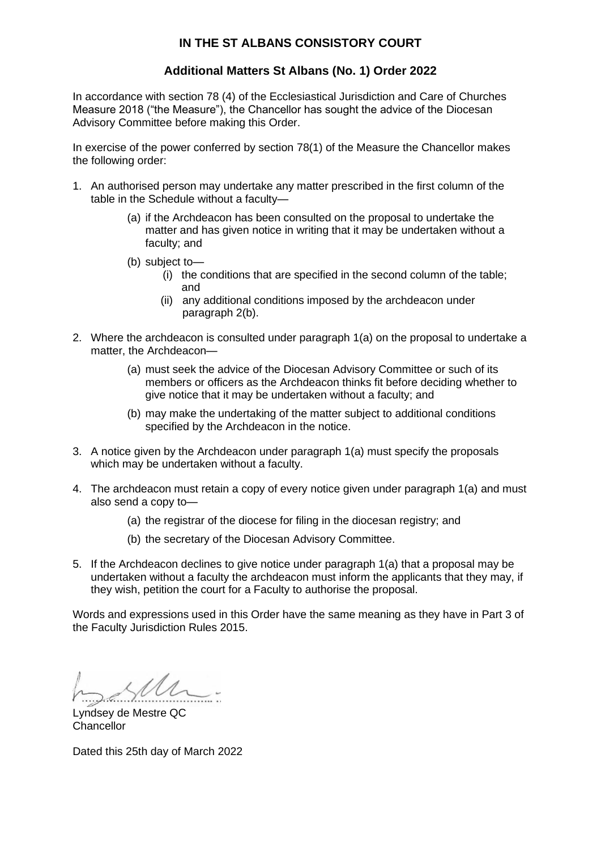## **IN THE ST ALBANS CONSISTORY COURT**

## **Additional Matters St Albans (No. 1) Order 2022**

In accordance with section 78 (4) of the Ecclesiastical Jurisdiction and Care of Churches Measure 2018 ("the Measure"), the Chancellor has sought the advice of the Diocesan Advisory Committee before making this Order.

In exercise of the power conferred by section 78(1) of the Measure the Chancellor makes the following order:

- 1. An authorised person may undertake any matter prescribed in the first column of the table in the Schedule without a faculty—
	- (a) if the Archdeacon has been consulted on the proposal to undertake the matter and has given notice in writing that it may be undertaken without a faculty; and
	- (b) subject to—
		- (i) the conditions that are specified in the second column of the table; and
		- (ii) any additional conditions imposed by the archdeacon under paragraph 2(b).
- 2. Where the archdeacon is consulted under paragraph 1(a) on the proposal to undertake a matter, the Archdeacon—
	- (a) must seek the advice of the Diocesan Advisory Committee or such of its members or officers as the Archdeacon thinks fit before deciding whether to give notice that it may be undertaken without a faculty; and
	- (b) may make the undertaking of the matter subject to additional conditions specified by the Archdeacon in the notice.
- 3. A notice given by the Archdeacon under paragraph 1(a) must specify the proposals which may be undertaken without a faculty.
- 4. The archdeacon must retain a copy of every notice given under paragraph 1(a) and must also send a copy to—
	- (a) the registrar of the diocese for filing in the diocesan registry; and
	- (b) the secretary of the Diocesan Advisory Committee.
- 5. If the Archdeacon declines to give notice under paragraph 1(a) that a proposal may be undertaken without a faculty the archdeacon must inform the applicants that they may, if they wish, petition the court for a Faculty to authorise the proposal.

Words and expressions used in this Order have the same meaning as they have in Part 3 of the Faculty Jurisdiction Rules 2015.

Lyndsey de Mestre QC Chancellor

Dated this 25th day of March 2022